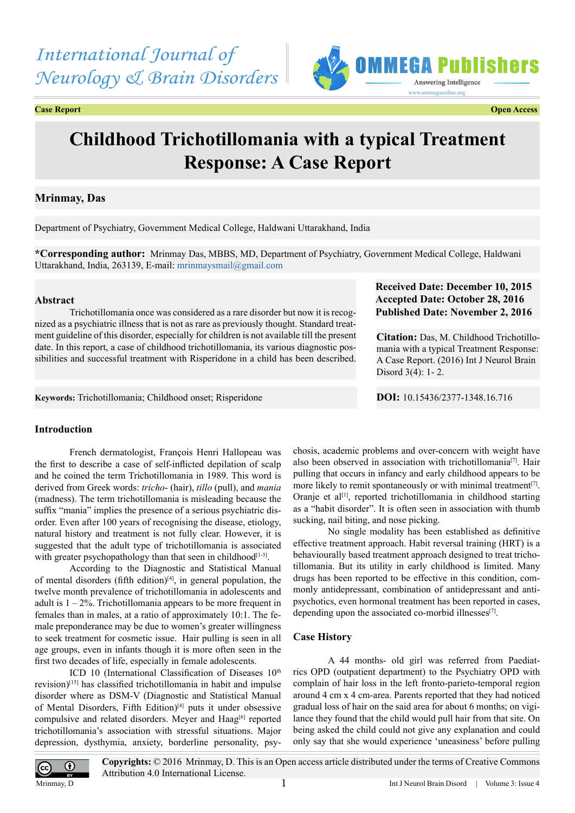# *International Journal of Neurology & Brain Disorders*





# **Childhood Trichotillomania with a typical Treatment Response: A Case Report**

## **Mrinmay, Das**

Department of Psychiatry, Government Medical College, Haldwani Uttarakhand, India

**\*Corresponding author:** Mrinmay Das, MBBS, MD, Department of Psychiatry, Government Medical College, Haldwani Uttarakhand, India, 263139, E-mail: [mrinmaysmail@gmail.com](mailto:mrinmaysmail@gmail.com)

### **Abstract**

Trichotillomania once was considered as a rare disorder but now it is recognized as a psychiatric illness that is not as rare as previously thought. Standard treatment guideline of this disorder, especially for children is not available till the present date. In this report, a case of childhood trichotillomania, its various diagnostic possibilities and successful treatment with Risperidone in a child has been described.

## **Received Date: December 10, 2015 Accepted Date: October 28, 2016 Published Date: November 2, 2016**

**Citation:** Das, M. Childhood Trichotillomania with a typical Treatment Response: A Case Report. (2016) Int J Neurol Brain Disord 3(4): 1- 2.

**Keywords:** Trichotillomania; Childhood onset; Risperidone **DOI:** [10.15436/2377-1348.16.7](http://www.dx.doi.org/10.15436/2377-1348.16.716
)16

## **Introduction**

French dermatologist, François Henri Hallopeau was the first to describe a case of self-inflicted depilation of scalp and he coined the term Trichotillomania in 1989. This word is derived from Greek words: *tricho*- (hair), *tillo* (pull), and *mania*  (madness). The term trichotillomania is misleading because the suffix "mania" implies the presence of a serious psychiatric disorder. Even after 100 years of recognising the disease, etiology, natural history and treatment is not fully clear. However, it is suggested that the adult type of trichotillomania is associated with greater psychopathology than that seen in childhood $[1-3]$ .

According to the Diagnostic and Statistical Manual of mental disorders (fifth edition)<sup>[\[4\]](#page-1-1)</sup>, in general population, the twelve month prevalence of trichotillomania in adolescents and adult is  $1 - 2\%$ . Trichotillomania appears to be more frequent in females than in males, at a ratio of approximately 10:1. The female preponderance may be due to women's greater willingness to seek treatment for cosmetic issue. Hair pulling is seen in all age groups, even in infants though it is more often seen in the first two decades of life, especially in female adolescents.

ICD 10 (International Classification of Diseases  $10<sup>th</sup>$ revision)[\[15\]](#page-1-2) has classified trichotillomania in habit and impulse disorder where as DSM-V (Diagnostic and Statistical Manual of Mental Disorders, Fifth Edition)<sup>[\[4\]](#page-1-1)</sup> puts it under obsessive compulsive and related disorders. Meyer and Haag<sup>[6]</sup> reported trichotillomania's association with stressful situations. Major depression, dysthymia, anxiety, borderline personality, psychosis, academic problems and over-concern with weight have also been observed in association with trichotillomania<sup>[7]</sup>. Hair pulling that occurs in infancy and early childhood appears to be more likely to remit spontaneously or with minimal treatment<sup>[7]</sup>. Oranje et al<sup>[1]</sup>, reported trichotillomania in childhood starting as a "habit disorder". It is often seen in association with thumb sucking, nail biting, and nose picking.

No single modality has been established as definitive effective treatment approach. Habit reversal training (HRT) is a behaviourally based treatment approach designed to treat trichotillomania. But its utility in early childhood is limited. Many drugs has been reported to be effective in this condition, commonly antidepressant, combination of antidepressant and antipsychotics, even hormonal treatment has been reported in cases, depending upon the associated co-morbid illnesses $[7]$ .

### **Case History**

A 44 months- old girl was referred from Paediatrics OPD (outpatient department) to the Psychiatry OPD with complain of hair loss in the left fronto-parieto-temporal region around 4 cm x 4 cm-area. Parents reported that they had noticed gradual loss of hair on the said area for about 6 months; on vigilance they found that the child would pull hair from that site. On being asked the child could not give any explanation and could only say that she would experience 'uneasiness' before pulling